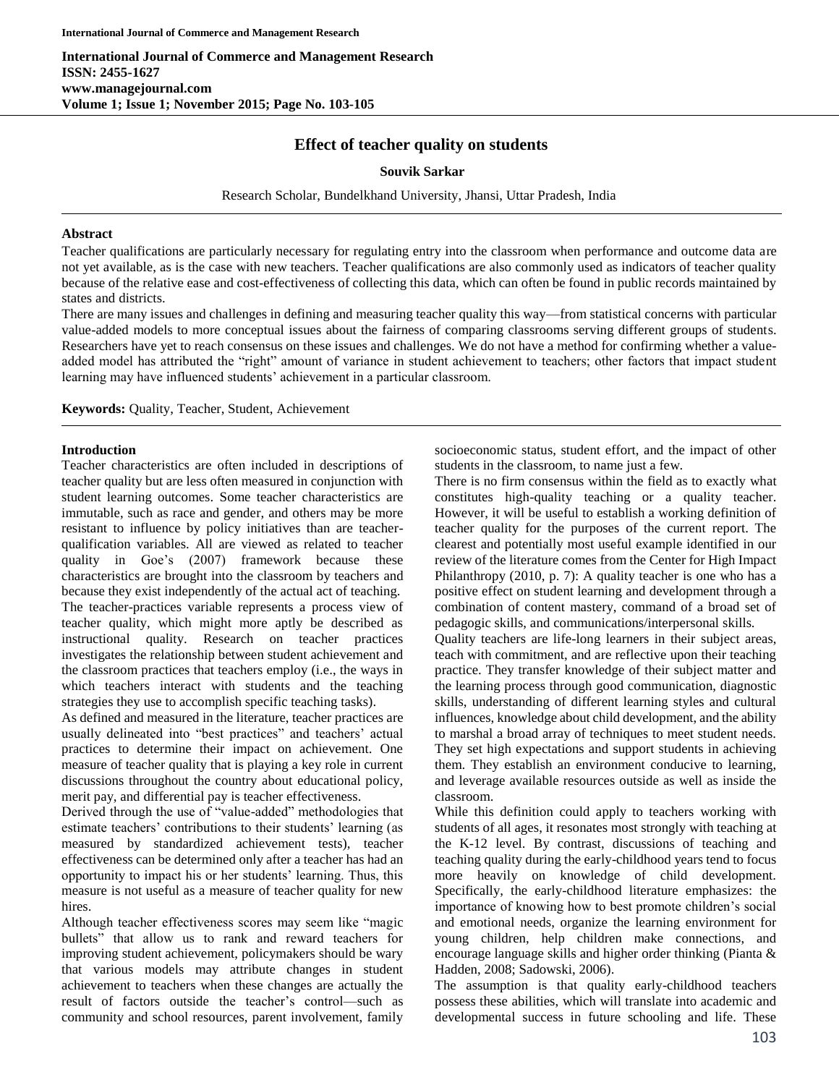# **Effect of teacher quality on students**

## **Souvik Sarkar**

Research Scholar, Bundelkhand University, Jhansi, Uttar Pradesh, India

### **Abstract**

Teacher qualifications are particularly necessary for regulating entry into the classroom when performance and outcome data are not yet available, as is the case with new teachers. Teacher qualifications are also commonly used as indicators of teacher quality because of the relative ease and cost-effectiveness of collecting this data, which can often be found in public records maintained by states and districts.

There are many issues and challenges in defining and measuring teacher quality this way—from statistical concerns with particular value-added models to more conceptual issues about the fairness of comparing classrooms serving different groups of students. Researchers have yet to reach consensus on these issues and challenges. We do not have a method for confirming whether a valueadded model has attributed the "right" amount of variance in student achievement to teachers; other factors that impact student learning may have influenced students' achievement in a particular classroom.

**Keywords:** Quality, Teacher, Student, Achievement

## **Introduction**

Teacher characteristics are often included in descriptions of teacher quality but are less often measured in conjunction with student learning outcomes. Some teacher characteristics are immutable, such as race and gender, and others may be more resistant to influence by policy initiatives than are teacherqualification variables. All are viewed as related to teacher quality in Goe's (2007) framework because these characteristics are brought into the classroom by teachers and because they exist independently of the actual act of teaching. The teacher-practices variable represents a process view of teacher quality, which might more aptly be described as instructional quality. Research on teacher practices investigates the relationship between student achievement and the classroom practices that teachers employ (i.e., the ways in which teachers interact with students and the teaching strategies they use to accomplish specific teaching tasks).

As defined and measured in the literature, teacher practices are usually delineated into "best practices" and teachers' actual practices to determine their impact on achievement. One measure of teacher quality that is playing a key role in current discussions throughout the country about educational policy, merit pay, and differential pay is teacher effectiveness.

Derived through the use of "value-added" methodologies that estimate teachers' contributions to their students' learning (as measured by standardized achievement tests), teacher effectiveness can be determined only after a teacher has had an opportunity to impact his or her students' learning. Thus, this measure is not useful as a measure of teacher quality for new hires.

Although teacher effectiveness scores may seem like "magic bullets" that allow us to rank and reward teachers for improving student achievement, policymakers should be wary that various models may attribute changes in student achievement to teachers when these changes are actually the result of factors outside the teacher's control—such as community and school resources, parent involvement, family socioeconomic status, student effort, and the impact of other students in the classroom, to name just a few.

There is no firm consensus within the field as to exactly what constitutes high-quality teaching or a quality teacher. However, it will be useful to establish a working definition of teacher quality for the purposes of the current report. The clearest and potentially most useful example identified in our review of the literature comes from the Center for High Impact Philanthropy (2010, p. 7): A quality teacher is one who has a positive effect on student learning and development through a combination of content mastery, command of a broad set of pedagogic skills, and communications/interpersonal skills.

Quality teachers are life-long learners in their subject areas, teach with commitment, and are reflective upon their teaching practice. They transfer knowledge of their subject matter and the learning process through good communication, diagnostic skills, understanding of different learning styles and cultural influences, knowledge about child development, and the ability to marshal a broad array of techniques to meet student needs. They set high expectations and support students in achieving them. They establish an environment conducive to learning, and leverage available resources outside as well as inside the classroom.

While this definition could apply to teachers working with students of all ages, it resonates most strongly with teaching at the K-12 level. By contrast, discussions of teaching and teaching quality during the early-childhood years tend to focus more heavily on knowledge of child development. Specifically, the early-childhood literature emphasizes: the importance of knowing how to best promote children's social and emotional needs, organize the learning environment for young children, help children make connections, and encourage language skills and higher order thinking (Pianta & Hadden, 2008; Sadowski, 2006).

The assumption is that quality early-childhood teachers possess these abilities, which will translate into academic and developmental success in future schooling and life. These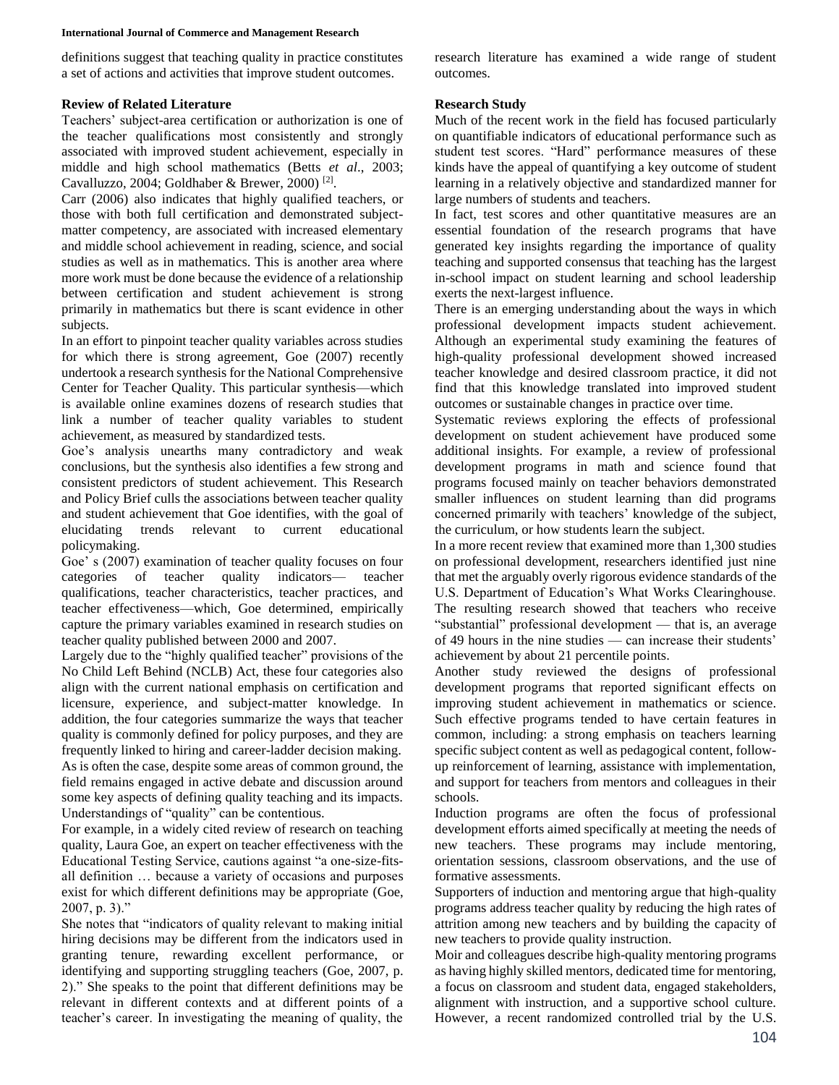#### **International Journal of Commerce and Management Research**

definitions suggest that teaching quality in practice constitutes a set of actions and activities that improve student outcomes.

# **Review of Related Literature**

Teachers' subject-area certification or authorization is one of the teacher qualifications most consistently and strongly associated with improved student achievement, especially in middle and high school mathematics (Betts *et al*., 2003; Cavalluzzo, 2004; Goldhaber & Brewer, 2000)<sup>[2]</sup>.

Carr (2006) also indicates that highly qualified teachers, or those with both full certification and demonstrated subjectmatter competency, are associated with increased elementary and middle school achievement in reading, science, and social studies as well as in mathematics. This is another area where more work must be done because the evidence of a relationship between certification and student achievement is strong primarily in mathematics but there is scant evidence in other subjects.

In an effort to pinpoint teacher quality variables across studies for which there is strong agreement, Goe (2007) recently undertook a research synthesis for the National Comprehensive Center for Teacher Quality. This particular synthesis—which is available online examines dozens of research studies that link a number of teacher quality variables to student achievement, as measured by standardized tests.

Goe's analysis unearths many contradictory and weak conclusions, but the synthesis also identifies a few strong and consistent predictors of student achievement. This Research and Policy Brief culls the associations between teacher quality and student achievement that Goe identifies, with the goal of elucidating trends relevant to current educational policymaking.

Goe' s (2007) examination of teacher quality focuses on four categories of teacher quality indicators— teacher qualifications, teacher characteristics, teacher practices, and teacher effectiveness—which, Goe determined, empirically capture the primary variables examined in research studies on teacher quality published between 2000 and 2007.

Largely due to the "highly qualified teacher" provisions of the No Child Left Behind (NCLB) Act, these four categories also align with the current national emphasis on certification and licensure, experience, and subject-matter knowledge. In addition, the four categories summarize the ways that teacher quality is commonly defined for policy purposes, and they are frequently linked to hiring and career-ladder decision making. As is often the case, despite some areas of common ground, the field remains engaged in active debate and discussion around some key aspects of defining quality teaching and its impacts. Understandings of "quality" can be contentious.

For example, in a widely cited review of research on teaching quality, Laura Goe, an expert on teacher effectiveness with the Educational Testing Service, cautions against "a one-size-fitsall definition … because a variety of occasions and purposes exist for which different definitions may be appropriate (Goe, 2007, p. 3)."

She notes that "indicators of quality relevant to making initial hiring decisions may be different from the indicators used in granting tenure, rewarding excellent performance, or identifying and supporting struggling teachers (Goe, 2007, p. 2)." She speaks to the point that different definitions may be relevant in different contexts and at different points of a teacher's career. In investigating the meaning of quality, the research literature has examined a wide range of student outcomes.

# **Research Study**

Much of the recent work in the field has focused particularly on quantifiable indicators of educational performance such as student test scores. "Hard" performance measures of these kinds have the appeal of quantifying a key outcome of student learning in a relatively objective and standardized manner for large numbers of students and teachers.

In fact, test scores and other quantitative measures are an essential foundation of the research programs that have generated key insights regarding the importance of quality teaching and supported consensus that teaching has the largest in-school impact on student learning and school leadership exerts the next-largest influence.

There is an emerging understanding about the ways in which professional development impacts student achievement. Although an experimental study examining the features of high-quality professional development showed increased teacher knowledge and desired classroom practice, it did not find that this knowledge translated into improved student outcomes or sustainable changes in practice over time.

Systematic reviews exploring the effects of professional development on student achievement have produced some additional insights. For example, a review of professional development programs in math and science found that programs focused mainly on teacher behaviors demonstrated smaller influences on student learning than did programs concerned primarily with teachers' knowledge of the subject, the curriculum, or how students learn the subject.

In a more recent review that examined more than 1,300 studies on professional development, researchers identified just nine that met the arguably overly rigorous evidence standards of the U.S. Department of Education's What Works Clearinghouse. The resulting research showed that teachers who receive "substantial" professional development — that is, an average of 49 hours in the nine studies — can increase their students' achievement by about 21 percentile points.

Another study reviewed the designs of professional development programs that reported significant effects on improving student achievement in mathematics or science. Such effective programs tended to have certain features in common, including: a strong emphasis on teachers learning specific subject content as well as pedagogical content, followup reinforcement of learning, assistance with implementation, and support for teachers from mentors and colleagues in their schools.

Induction programs are often the focus of professional development efforts aimed specifically at meeting the needs of new teachers. These programs may include mentoring, orientation sessions, classroom observations, and the use of formative assessments.

Supporters of induction and mentoring argue that high-quality programs address teacher quality by reducing the high rates of attrition among new teachers and by building the capacity of new teachers to provide quality instruction.

Moir and colleagues describe high-quality mentoring programs as having highly skilled mentors, dedicated time for mentoring, a focus on classroom and student data, engaged stakeholders, alignment with instruction, and a supportive school culture. However, a recent randomized controlled trial by the U.S.